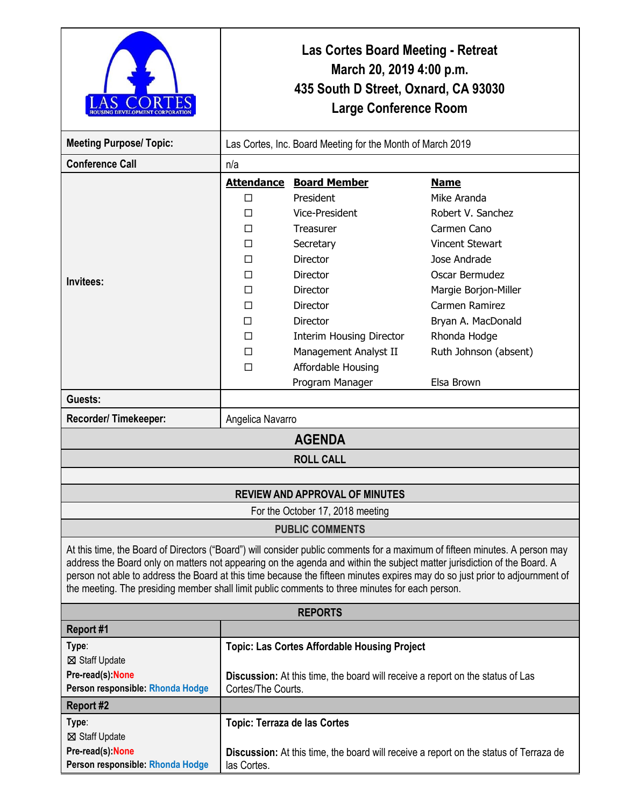|                                                                                                                                                                                                                                                                                                                                                                                                                                                                                            | Las Cortes Board Meeting - Retreat<br>March 20, 2019 4:00 p.m.<br>435 South D Street, Oxnard, CA 93030<br><b>Large Conference Room</b> |                                                                                       |                                                                                              |  |
|--------------------------------------------------------------------------------------------------------------------------------------------------------------------------------------------------------------------------------------------------------------------------------------------------------------------------------------------------------------------------------------------------------------------------------------------------------------------------------------------|----------------------------------------------------------------------------------------------------------------------------------------|---------------------------------------------------------------------------------------|----------------------------------------------------------------------------------------------|--|
| <b>Meeting Purpose/Topic:</b>                                                                                                                                                                                                                                                                                                                                                                                                                                                              | Las Cortes, Inc. Board Meeting for the Month of March 2019                                                                             |                                                                                       |                                                                                              |  |
| <b>Conference Call</b>                                                                                                                                                                                                                                                                                                                                                                                                                                                                     | n/a                                                                                                                                    |                                                                                       |                                                                                              |  |
| Invitees:                                                                                                                                                                                                                                                                                                                                                                                                                                                                                  | <b>Attendance</b>                                                                                                                      | <b>Board Member</b>                                                                   | <b>Name</b>                                                                                  |  |
|                                                                                                                                                                                                                                                                                                                                                                                                                                                                                            | П                                                                                                                                      | President                                                                             | Mike Aranda                                                                                  |  |
|                                                                                                                                                                                                                                                                                                                                                                                                                                                                                            | П                                                                                                                                      | Vice-President                                                                        | Robert V. Sanchez                                                                            |  |
|                                                                                                                                                                                                                                                                                                                                                                                                                                                                                            | п                                                                                                                                      | <b>Treasurer</b>                                                                      | Carmen Cano                                                                                  |  |
|                                                                                                                                                                                                                                                                                                                                                                                                                                                                                            | П                                                                                                                                      | Secretary                                                                             | <b>Vincent Stewart</b>                                                                       |  |
|                                                                                                                                                                                                                                                                                                                                                                                                                                                                                            | п                                                                                                                                      | Director                                                                              | Jose Andrade                                                                                 |  |
|                                                                                                                                                                                                                                                                                                                                                                                                                                                                                            | П                                                                                                                                      | <b>Director</b>                                                                       | Oscar Bermudez                                                                               |  |
|                                                                                                                                                                                                                                                                                                                                                                                                                                                                                            | П                                                                                                                                      | <b>Director</b>                                                                       | Margie Borjon-Miller                                                                         |  |
|                                                                                                                                                                                                                                                                                                                                                                                                                                                                                            | П                                                                                                                                      | Director                                                                              | Carmen Ramirez                                                                               |  |
|                                                                                                                                                                                                                                                                                                                                                                                                                                                                                            | П                                                                                                                                      | <b>Director</b>                                                                       | Bryan A. MacDonald                                                                           |  |
|                                                                                                                                                                                                                                                                                                                                                                                                                                                                                            | п                                                                                                                                      | <b>Interim Housing Director</b>                                                       | Rhonda Hodge                                                                                 |  |
|                                                                                                                                                                                                                                                                                                                                                                                                                                                                                            | П                                                                                                                                      | Management Analyst II                                                                 | Ruth Johnson (absent)                                                                        |  |
|                                                                                                                                                                                                                                                                                                                                                                                                                                                                                            | П                                                                                                                                      | Affordable Housing                                                                    |                                                                                              |  |
|                                                                                                                                                                                                                                                                                                                                                                                                                                                                                            |                                                                                                                                        | Program Manager                                                                       | Elsa Brown                                                                                   |  |
| Guests:                                                                                                                                                                                                                                                                                                                                                                                                                                                                                    |                                                                                                                                        |                                                                                       |                                                                                              |  |
| Recorder/Timekeeper:                                                                                                                                                                                                                                                                                                                                                                                                                                                                       | Angelica Navarro                                                                                                                       |                                                                                       |                                                                                              |  |
| <b>AGENDA</b>                                                                                                                                                                                                                                                                                                                                                                                                                                                                              |                                                                                                                                        |                                                                                       |                                                                                              |  |
|                                                                                                                                                                                                                                                                                                                                                                                                                                                                                            |                                                                                                                                        | <b>ROLL CALL</b>                                                                      |                                                                                              |  |
|                                                                                                                                                                                                                                                                                                                                                                                                                                                                                            |                                                                                                                                        |                                                                                       |                                                                                              |  |
|                                                                                                                                                                                                                                                                                                                                                                                                                                                                                            |                                                                                                                                        | <b>REVIEW AND APPROVAL OF MINUTES</b>                                                 |                                                                                              |  |
| For the October 17, 2018 meeting                                                                                                                                                                                                                                                                                                                                                                                                                                                           |                                                                                                                                        |                                                                                       |                                                                                              |  |
| <b>PUBLIC COMMENTS</b>                                                                                                                                                                                                                                                                                                                                                                                                                                                                     |                                                                                                                                        |                                                                                       |                                                                                              |  |
| At this time, the Board of Directors ("Board") will consider public comments for a maximum of fifteen minutes. A person may<br>address the Board only on matters not appearing on the agenda and within the subject matter jurisdiction of the Board. A<br>person not able to address the Board at this time because the fifteen minutes expires may do so just prior to adjournment of<br>the meeting. The presiding member shall limit public comments to three minutes for each person. |                                                                                                                                        |                                                                                       |                                                                                              |  |
|                                                                                                                                                                                                                                                                                                                                                                                                                                                                                            |                                                                                                                                        | <b>REPORTS</b>                                                                        |                                                                                              |  |
| Report #1                                                                                                                                                                                                                                                                                                                                                                                                                                                                                  |                                                                                                                                        |                                                                                       |                                                                                              |  |
| Type:                                                                                                                                                                                                                                                                                                                                                                                                                                                                                      |                                                                                                                                        | <b>Topic: Las Cortes Affordable Housing Project</b>                                   |                                                                                              |  |
| ⊠ Staff Update                                                                                                                                                                                                                                                                                                                                                                                                                                                                             |                                                                                                                                        |                                                                                       |                                                                                              |  |
| Pre-read(s): None                                                                                                                                                                                                                                                                                                                                                                                                                                                                          |                                                                                                                                        | <b>Discussion:</b> At this time, the board will receive a report on the status of Las |                                                                                              |  |
| Person responsible: Rhonda Hodge                                                                                                                                                                                                                                                                                                                                                                                                                                                           | Cortes/The Courts.                                                                                                                     |                                                                                       |                                                                                              |  |
| <b>Report #2</b>                                                                                                                                                                                                                                                                                                                                                                                                                                                                           |                                                                                                                                        |                                                                                       |                                                                                              |  |
| Type:                                                                                                                                                                                                                                                                                                                                                                                                                                                                                      | Topic: Terraza de las Cortes                                                                                                           |                                                                                       |                                                                                              |  |
| ⊠ Staff Update                                                                                                                                                                                                                                                                                                                                                                                                                                                                             |                                                                                                                                        |                                                                                       |                                                                                              |  |
| Pre-read(s): None<br>Person responsible: Rhonda Hodge                                                                                                                                                                                                                                                                                                                                                                                                                                      | las Cortes.                                                                                                                            |                                                                                       | <b>Discussion:</b> At this time, the board will receive a report on the status of Terraza de |  |